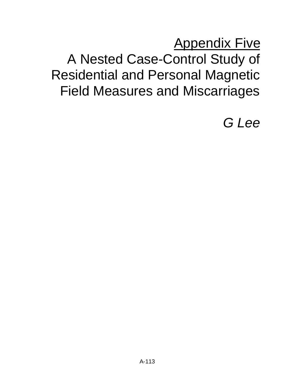# **Appendix Five** A Nested Case-Control Study of Residential and Personal Magnetic Field Measures and Miscarriages

*G Lee*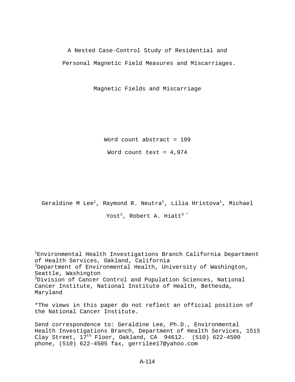A Nested Case-Control Study of Residential and Personal Magnetic Field Measures and Miscarriages.

Magnetic Fields and Miscarriage

Word count abstract = 199

Word count text =  $4,974$ 

Geraldine M Lee<sup>1</sup>, Raymond R. Neutra<sup>1</sup>, Lilia Hristova<sup>1</sup>, Michael

Yost<sup>2</sup>, Robert A. Hiatt<sup>3 \*</sup>

<sup>1</sup>Environmental Health Investigations Branch California Department of Health Services, Oakland, California  $2$ Department of Environmental Health, University of Washington, Seattle, Washington <sup>3</sup>Division of Cancer Control and Population Sciences, National Cancer Institute, National Institute of Health, Bethesda, Maryland

\*The views in this paper do not reflect an official position of the National Cancer Institute.

Send correspondence to: Geraldine Lee, Ph.D., Environmental Health Investigations Branch, Department of Health Services, 1515 Clay Street,  $17<sup>th</sup>$  Floor, Oakland, CA 94612. (510) 622-4500 phone, (510) 622-4505 fax, gerrilee17@yahoo.com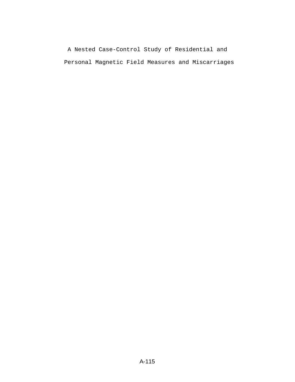A Nested Case-Control Study of Residential and Personal Magnetic Field Measures and Miscarriages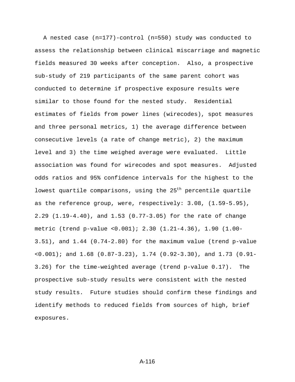A nested case (n=177)-control (n=550) study was conducted to assess the relationship between clinical miscarriage and magnetic fields measured 30 weeks after conception. Also, a prospective sub-study of 219 participants of the same parent cohort was conducted to determine if prospective exposure results were similar to those found for the nested study. Residential estimates of fields from power lines (wirecodes), spot measures and three personal metrics, 1) the average difference between consecutive levels (a rate of change metric), 2) the maximum level and 3) the time weighed average were evaluated. Little association was found for wirecodes and spot measures. Adjusted odds ratios and 95% confidence intervals for the highest to the lowest quartile comparisons, using the  $25<sup>th</sup>$  percentile quartile as the reference group, were, respectively: 3.08, (1.59-5.95), 2.29 (1.19-4.40), and 1.53 (0.77-3.05) for the rate of change metric (trend p-value <0.001); 2.30 (1.21-4.36), 1.90 (1.00- 3.51), and 1.44 (0.74-2.80) for the maximum value (trend p-value <0.001); and 1.68 (0.87-3.23), 1.74 (0.92-3.30), and 1.73 (0.91- 3.26) for the time-weighted average (trend p-value 0.17). The prospective sub-study results were consistent with the nested study results. Future studies should confirm these findings and identify methods to reduced fields from sources of high, brief exposures.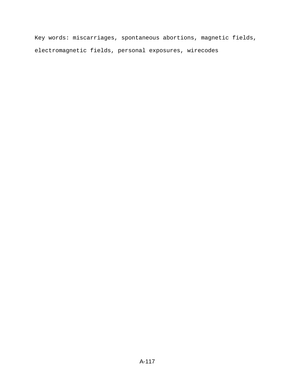Key words: miscarriages, spontaneous abortions, magnetic fields, electromagnetic fields, personal exposures, wirecodes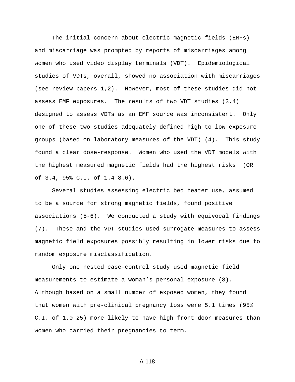The initial concern about electric magnetic fields (EMFs) and miscarriage was prompted by reports of miscarriages among women who used video display terminals (VDT). Epidemiological studies of VDTs, overall, showed no association with miscarriages (see review papers 1,2). However, most of these studies did not assess EMF exposures. The results of two VDT studies (3,4) designed to assess VDTs as an EMF source was inconsistent. Only one of these two studies adequately defined high to low exposure groups (based on laboratory measures of the VDT) (4). This study found a clear dose-response. Women who used the VDT models with the highest measured magnetic fields had the highest risks (OR of 3.4, 95% C.I. of 1.4-8.6).

Several studies assessing electric bed heater use, assumed to be a source for strong magnetic fields, found positive associations (5-6). We conducted a study with equivocal findings (7). These and the VDT studies used surrogate measures to assess magnetic field exposures possibly resulting in lower risks due to random exposure misclassification.

Only one nested case-control study used magnetic field measurements to estimate a woman's personal exposure (8). Although based on a small number of exposed women, they found that women with pre-clinical pregnancy loss were 5.1 times (95% C.I. of 1.0-25) more likely to have high front door measures than women who carried their pregnancies to term.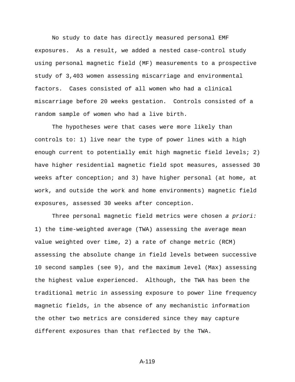No study to date has directly measured personal EMF exposures. As a result, we added a nested case-control study using personal magnetic field (MF) measurements to a prospective study of 3,403 women assessing miscarriage and environmental factors. Cases consisted of all women who had a clinical miscarriage before 20 weeks gestation. Controls consisted of a random sample of women who had a live birth.

The hypotheses were that cases were more likely than controls to: 1) live near the type of power lines with a high enough current to potentially emit high magnetic field levels; 2) have higher residential magnetic field spot measures, assessed 30 weeks after conception; and 3) have higher personal (at home, at work, and outside the work and home environments) magnetic field exposures, assessed 30 weeks after conception.

Three personal magnetic field metrics were chosen *a priori:* 1) the time-weighted average (TWA) assessing the average mean value weighted over time, 2) a rate of change metric (RCM) assessing the absolute change in field levels between successive 10 second samples (see 9), and the maximum level (Max) assessing the highest value experienced. Although, the TWA has been the traditional metric in assessing exposure to power line frequency magnetic fields, in the absence of any mechanistic information the other two metrics are considered since they may capture different exposures than that reflected by the TWA.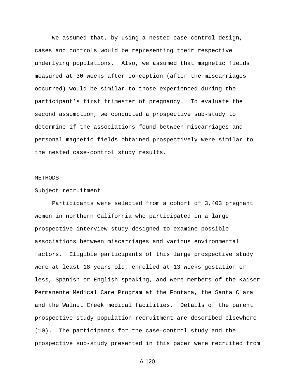We assumed that, by using a nested case-control design, cases and controls would be representing their respective underlying populations. Also, we assumed that magnetic fields measured at 30 weeks after conception (after the miscarriages occurred) would be similar to those experienced during the participant's first trimester of pregnancy. To evaluate the second assumption, we conducted a prospective sub-study to determine if the associations found between miscarriages and personal magnetic fields obtained prospectively were similar to the nested case-control study results.

## METHODS

## Subject recruitment

Participants were selected from a cohort of 3,403 pregnant women in northern California who participated in a large prospective interview study designed to examine possible associations between miscarriages and various environmental factors. Eligible participants of this large prospective study were at least 18 years old, enrolled at 13 weeks gestation or less, Spanish or English speaking, and were members of the Kaiser Permanente Medical Care Program at the Fontana, the Santa Clara and the Walnut Creek medical facilities. Details of the parent prospective study population recruitment are described elsewhere (10). The participants for the case-control study and the prospective sub-study presented in this paper were recruited from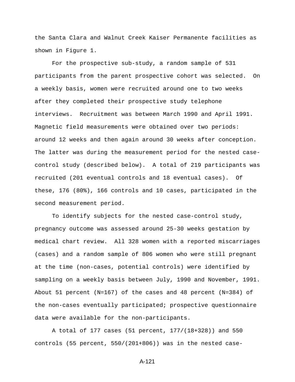the Santa Clara and Walnut Creek Kaiser Permanente facilities as shown in Figure 1.

For the prospective sub-study, a random sample of 531 participants from the parent prospective cohort was selected. On a weekly basis, women were recruited around one to two weeks after they completed their prospective study telephone interviews. Recruitment was between March 1990 and April 1991. Magnetic field measurements were obtained over two periods: around 12 weeks and then again around 30 weeks after conception. The latter was during the measurement period for the nested casecontrol study (described below). A total of 219 participants was recruited (201 eventual controls and 18 eventual cases). Of these, 176 (80%), 166 controls and 10 cases, participated in the second measurement period.

To identify subjects for the nested case-control study, pregnancy outcome was assessed around 25-30 weeks gestation by medical chart review. All 328 women with a reported miscarriages (cases) and a random sample of 806 women who were still pregnant at the time (non-cases, potential controls) were identified by sampling on a weekly basis between July, 1990 and November, 1991. About 51 percent (N=167) of the cases and 48 percent (N=384) of the non-cases eventually participated; prospective questionnaire data were available for the non-participants.

A total of 177 cases (51 percent, 177/(18+328)) and 550 controls (55 percent, 550/(201+806)) was in the nested case-

```
A-121
```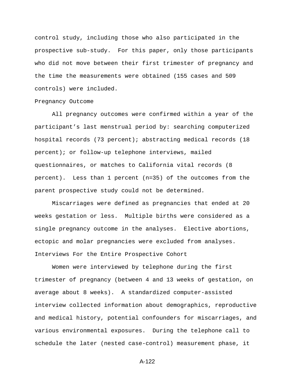control study, including those who also participated in the prospective sub-study. For this paper, only those participants who did not move between their first trimester of pregnancy and the time the measurements were obtained (155 cases and 509 controls) were included.

## Pregnancy Outcome

All pregnancy outcomes were confirmed within a year of the participant's last menstrual period by: searching computerized hospital records (73 percent); abstracting medical records (18 percent); or follow-up telephone interviews, mailed questionnaires, or matches to California vital records (8 percent). Less than 1 percent (n=35) of the outcomes from the parent prospective study could not be determined.

Miscarriages were defined as pregnancies that ended at 20 weeks gestation or less. Multiple births were considered as a single pregnancy outcome in the analyses. Elective abortions, ectopic and molar pregnancies were excluded from analyses. Interviews For the Entire Prospective Cohort

Women were interviewed by telephone during the first trimester of pregnancy (between 4 and 13 weeks of gestation, on average about 8 weeks). A standardized computer-assisted interview collected information about demographics, reproductive and medical history, potential confounders for miscarriages, and various environmental exposures. During the telephone call to schedule the later (nested case-control) measurement phase, it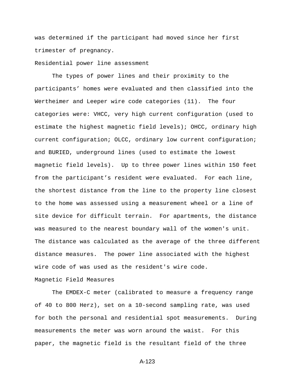was determined if the participant had moved since her first trimester of pregnancy.

# Residential power line assessment

The types of power lines and their proximity to the participants' homes were evaluated and then classified into the Wertheimer and Leeper wire code categories (11). The four categories were: VHCC, very high current configuration (used to estimate the highest magnetic field levels); OHCC, ordinary high current configuration; OLCC, ordinary low current configuration; and BURIED, underground lines (used to estimate the lowest magnetic field levels). Up to three power lines within 150 feet from the participant's resident were evaluated. For each line, the shortest distance from the line to the property line closest to the home was assessed using a measurement wheel or a line of site device for difficult terrain. For apartments, the distance was measured to the nearest boundary wall of the women's unit. The distance was calculated as the average of the three different distance measures. The power line associated with the highest wire code of was used as the resident's wire code.

# Magnetic Field Measures

The EMDEX-C meter (calibrated to measure a frequency range of 40 to 800 Herz), set on a 10-second sampling rate, was used for both the personal and residential spot measurements. During measurements the meter was worn around the waist. For this paper, the magnetic field is the resultant field of the three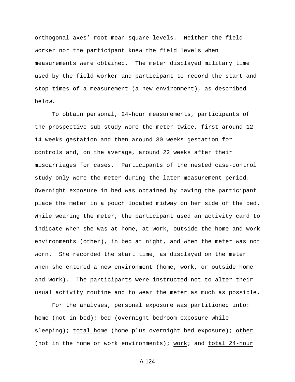orthogonal axes' root mean square levels. Neither the field worker nor the participant knew the field levels when measurements were obtained. The meter displayed military time used by the field worker and participant to record the start and stop times of a measurement (a new environment), as described below.

To obtain personal, 24-hour measurements, participants of the prospective sub-study wore the meter twice, first around 12- 14 weeks gestation and then around 30 weeks gestation for controls and, on the average, around 22 weeks after their miscarriages for cases. Participants of the nested case-control study only wore the meter during the later measurement period. Overnight exposure in bed was obtained by having the participant place the meter in a pouch located midway on her side of the bed. While wearing the meter, the participant used an activity card to indicate when she was at home, at work, outside the home and work environments (other), in bed at night, and when the meter was not worn. She recorded the start time, as displayed on the meter when she entered a new environment (home, work, or outside home and work). The participants were instructed not to alter their usual activity routine and to wear the meter as much as possible.

For the analyses, personal exposure was partitioned into: home (not in bed); bed (overnight bedroom exposure while sleeping); total home (home plus overnight bed exposure); other (not in the home or work environments); work; and total 24-hour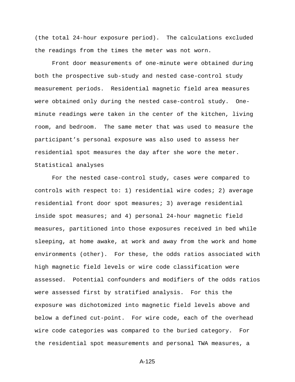(the total 24-hour exposure period). The calculations excluded the readings from the times the meter was not worn.

Front door measurements of one-minute were obtained during both the prospective sub-study and nested case-control study measurement periods. Residential magnetic field area measures were obtained only during the nested case-control study. Oneminute readings were taken in the center of the kitchen, living room, and bedroom. The same meter that was used to measure the participant's personal exposure was also used to assess her residential spot measures the day after she wore the meter. Statistical analyses

For the nested case-control study, cases were compared to controls with respect to: 1) residential wire codes; 2) average residential front door spot measures; 3) average residential inside spot measures; and 4) personal 24-hour magnetic field measures, partitioned into those exposures received in bed while sleeping, at home awake, at work and away from the work and home environments (other). For these, the odds ratios associated with high magnetic field levels or wire code classification were assessed. Potential confounders and modifiers of the odds ratios were assessed first by stratified analysis. For this the exposure was dichotomized into magnetic field levels above and below a defined cut-point. For wire code, each of the overhead wire code categories was compared to the buried category. For the residential spot measurements and personal TWA measures, a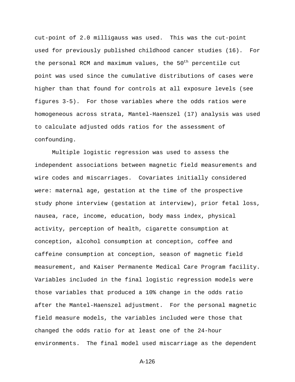cut-point of 2.0 milligauss was used. This was the cut-point used for previously published childhood cancer studies (16). For the personal RCM and maximum values, the  $50<sup>th</sup>$  percentile cut point was used since the cumulative distributions of cases were higher than that found for controls at all exposure levels (see figures 3-5). For those variables where the odds ratios were homogeneous across strata, Mantel-Haenszel (17) analysis was used to calculate adjusted odds ratios for the assessment of confounding.

Multiple logistic regression was used to assess the independent associations between magnetic field measurements and wire codes and miscarriages. Covariates initially considered were: maternal age, gestation at the time of the prospective study phone interview (gestation at interview), prior fetal loss, nausea, race, income, education, body mass index, physical activity, perception of health, cigarette consumption at conception, alcohol consumption at conception, coffee and caffeine consumption at conception, season of magnetic field measurement, and Kaiser Permanente Medical Care Program facility. Variables included in the final logistic regression models were those variables that produced a 10% change in the odds ratio after the Mantel-Haenszel adjustment. For the personal magnetic field measure models, the variables included were those that changed the odds ratio for at least one of the 24-hour environments. The final model used miscarriage as the dependent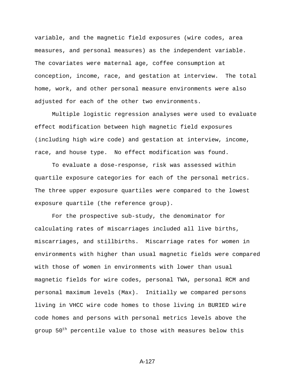variable, and the magnetic field exposures (wire codes, area measures, and personal measures) as the independent variable. The covariates were maternal age, coffee consumption at conception, income, race, and gestation at interview. The total home, work, and other personal measure environments were also adjusted for each of the other two environments.

Multiple logistic regression analyses were used to evaluate effect modification between high magnetic field exposures (including high wire code) and gestation at interview, income, race, and house type. No effect modification was found.

To evaluate a dose-response, risk was assessed within quartile exposure categories for each of the personal metrics. The three upper exposure quartiles were compared to the lowest exposure quartile (the reference group).

For the prospective sub-study, the denominator for calculating rates of miscarriages included all live births, miscarriages, and stillbirths. Miscarriage rates for women in environments with higher than usual magnetic fields were compared with those of women in environments with lower than usual magnetic fields for wire codes, personal TWA, personal RCM and personal maximum levels (Max). Initially we compared persons living in VHCC wire code homes to those living in BURIED wire code homes and persons with personal metrics levels above the group  $50<sup>th</sup>$  percentile value to those with measures below this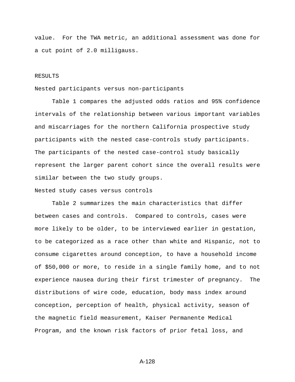value. For the TWA metric, an additional assessment was done for a cut point of 2.0 milligauss.

#### RESULTS

## Nested participants versus non-participants

Table 1 compares the adjusted odds ratios and 95% confidence intervals of the relationship between various important variables and miscarriages for the northern California prospective study participants with the nested case-controls study participants. The participants of the nested case-control study basically represent the larger parent cohort since the overall results were similar between the two study groups.

# Nested study cases versus controls

Table 2 summarizes the main characteristics that differ between cases and controls. Compared to controls, cases were more likely to be older, to be interviewed earlier in gestation, to be categorized as a race other than white and Hispanic, not to consume cigarettes around conception, to have a household income of \$50,000 or more, to reside in a single family home, and to not experience nausea during their first trimester of pregnancy. The distributions of wire code, education, body mass index around conception, perception of health, physical activity, season of the magnetic field measurement, Kaiser Permanente Medical Program, and the known risk factors of prior fetal loss, and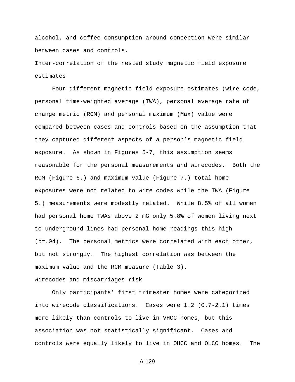alcohol, and coffee consumption around conception were similar between cases and controls.

Inter-correlation of the nested study magnetic field exposure estimates

Four different magnetic field exposure estimates (wire code, personal time-weighted average (TWA), personal average rate of change metric (RCM) and personal maximum (Max) value were compared between cases and controls based on the assumption that they captured different aspects of a person's magnetic field exposure. As shown in Figures 5-7, this assumption seems reasonable for the personal measurements and wirecodes. Both the RCM (Figure 6.) and maximum value (Figure 7.) total home exposures were not related to wire codes while the TWA (Figure 5.) measurements were modestly related. While 8.5% of all women had personal home TWAs above 2 mG only 5.8% of women living next to underground lines had personal home readings this high  $(p=.04)$ . The personal metrics were correlated with each other, but not strongly. The highest correlation was between the maximum value and the RCM measure (Table 3).

Wirecodes and miscarriages risk

Only participants' first trimester homes were categorized into wirecode classifications. Cases were 1.2 (0.7-2.1) times more likely than controls to live in VHCC homes, but this association was not statistically significant. Cases and controls were equally likely to live in OHCC and OLCC homes. The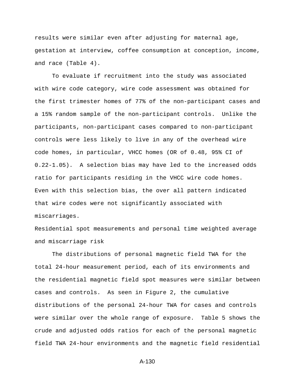results were similar even after adjusting for maternal age, gestation at interview, coffee consumption at conception, income, and race (Table 4).

To evaluate if recruitment into the study was associated with wire code category, wire code assessment was obtained for the first trimester homes of 77% of the non-participant cases and a 15% random sample of the non-participant controls. Unlike the participants, non-participant cases compared to non-participant controls were less likely to live in any of the overhead wire code homes, in particular, VHCC homes (OR of 0.48, 95% CI of 0.22-1.05). A selection bias may have led to the increased odds ratio for participants residing in the VHCC wire code homes. Even with this selection bias, the over all pattern indicated that wire codes were not significantly associated with miscarriages.

Residential spot measurements and personal time weighted average and miscarriage risk

The distributions of personal magnetic field TWA for the total 24-hour measurement period, each of its environments and the residential magnetic field spot measures were similar between cases and controls. As seen in Figure 2, the cumulative distributions of the personal 24-hour TWA for cases and controls were similar over the whole range of exposure. Table 5 shows the crude and adjusted odds ratios for each of the personal magnetic field TWA 24-hour environments and the magnetic field residential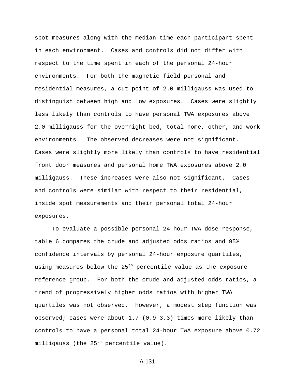spot measures along with the median time each participant spent in each environment. Cases and controls did not differ with respect to the time spent in each of the personal 24-hour environments. For both the magnetic field personal and residential measures, a cut-point of 2.0 milligauss was used to distinguish between high and low exposures. Cases were slightly less likely than controls to have personal TWA exposures above 2.0 milligauss for the overnight bed, total home, other, and work environments. The observed decreases were not significant. Cases were slightly more likely than controls to have residential front door measures and personal home TWA exposures above 2.0 milligauss. These increases were also not significant. Cases and controls were similar with respect to their residential, inside spot measurements and their personal total 24-hour exposures.

To evaluate a possible personal 24-hour TWA dose-response, table 6 compares the crude and adjusted odds ratios and 95% confidence intervals by personal 24-hour exposure quartiles, using measures below the 25<sup>th</sup> percentile value as the exposure reference group. For both the crude and adjusted odds ratios, a trend of progressively higher odds ratios with higher TWA quartiles was not observed. However, a modest step function was observed; cases were about 1.7 (0.9-3.3) times more likely than controls to have a personal total 24-hour TWA exposure above 0.72 milligauss (the  $25<sup>th</sup>$  percentile value).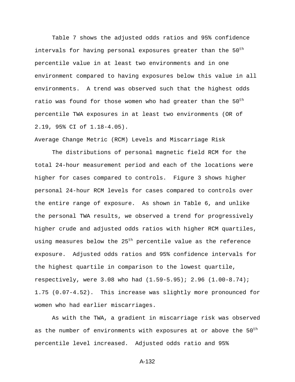Table 7 shows the adjusted odds ratios and 95% confidence intervals for having personal exposures greater than the  $50<sup>th</sup>$ percentile value in at least two environments and in one environment compared to having exposures below this value in all environments. A trend was observed such that the highest odds ratio was found for those women who had greater than the  $50<sup>th</sup>$ percentile TWA exposures in at least two environments (OR of 2.19, 95% CI of 1.18-4.05).

Average Change Metric (RCM) Levels and Miscarriage Risk

The distributions of personal magnetic field RCM for the total 24-hour measurement period and each of the locations were higher for cases compared to controls. Figure 3 shows higher personal 24-hour RCM levels for cases compared to controls over the entire range of exposure. As shown in Table 6, and unlike the personal TWA results, we observed a trend for progressively higher crude and adjusted odds ratios with higher RCM quartiles, using measures below the 25<sup>th</sup> percentile value as the reference exposure. Adjusted odds ratios and 95% confidence intervals for the highest quartile in comparison to the lowest quartile, respectively, were 3.08 who had (1.59-5.95); 2.96 (1.00-8.74); 1.75 (0.07-4.52). This increase was slightly more pronounced for women who had earlier miscarriages.

As with the TWA, a gradient in miscarriage risk was observed as the number of environments with exposures at or above the 50<sup>th</sup> percentile level increased. Adjusted odds ratio and 95%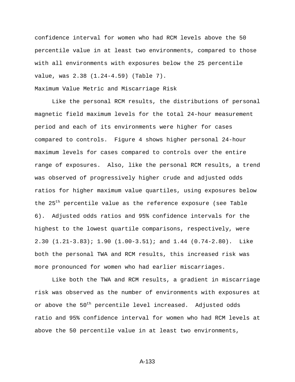confidence interval for women who had RCM levels above the 50 percentile value in at least two environments, compared to those with all environments with exposures below the 25 percentile value, was 2.38 (1.24-4.59) (Table 7).

Maximum Value Metric and Miscarriage Risk

Like the personal RCM results, the distributions of personal magnetic field maximum levels for the total 24-hour measurement period and each of its environments were higher for cases compared to controls. Figure 4 shows higher personal 24-hour maximum levels for cases compared to controls over the entire range of exposures. Also, like the personal RCM results, a trend was observed of progressively higher crude and adjusted odds ratios for higher maximum value quartiles, using exposures below the 25<sup>th</sup> percentile value as the reference exposure (see Table 6). Adjusted odds ratios and 95% confidence intervals for the highest to the lowest quartile comparisons, respectively, were 2.30 (1.21-3.83); 1.90 (1.00-3.51); and 1.44 (0.74-2.80). Like both the personal TWA and RCM results, this increased risk was more pronounced for women who had earlier miscarriages.

Like both the TWA and RCM results, a gradient in miscarriage risk was observed as the number of environments with exposures at or above the 50<sup>th</sup> percentile level increased. Adjusted odds ratio and 95% confidence interval for women who had RCM levels at above the 50 percentile value in at least two environments,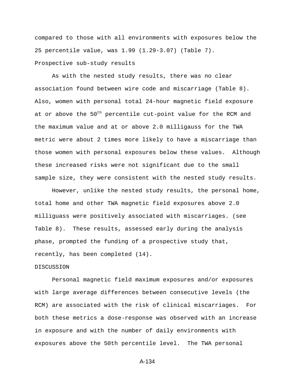compared to those with all environments with exposures below the 25 percentile value, was 1.99 (1.29-3.07) (Table 7). Prospective sub-study results

As with the nested study results, there was no clear association found between wire code and miscarriage (Table 8). Also, women with personal total 24-hour magnetic field exposure at or above the  $50<sup>th</sup>$  percentile cut-point value for the RCM and the maximum value and at or above 2.0 milligauss for the TWA metric were about 2 times more likely to have a miscarriage than those women with personal exposures below these values. Although these increased risks were not significant due to the small sample size, they were consistent with the nested study results.

However, unlike the nested study results, the personal home, total home and other TWA magnetic field exposures above 2.0 milliguass were positively associated with miscarriages. (see Table 8). These results, assessed early during the analysis phase, prompted the funding of a prospective study that, recently, has been completed (14).

## DISCUSSION

Personal magnetic field maximum exposures and/or exposures with large average differences between consecutive levels (the RCM) are associated with the risk of clinical miscarriages. For both these metrics a dose-response was observed with an increase in exposure and with the number of daily environments with exposures above the 50th percentile level. The TWA personal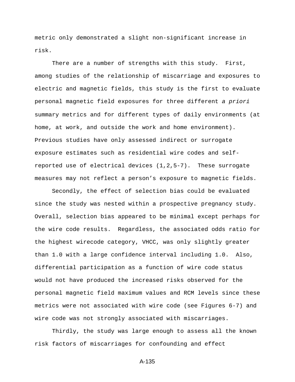metric only demonstrated a slight non-significant increase in risk.

There are a number of strengths with this study. First, among studies of the relationship of miscarriage and exposures to electric and magnetic fields, this study is the first to evaluate personal magnetic field exposures for three different *a priori* summary metrics and for different types of daily environments (at home, at work, and outside the work and home environment). Previous studies have only assessed indirect or surrogate exposure estimates such as residential wire codes and selfreported use of electrical devices (1,2,5-7). These surrogate measures may not reflect a person's exposure to magnetic fields.

Secondly, the effect of selection bias could be evaluated since the study was nested within a prospective pregnancy study. Overall, selection bias appeared to be minimal except perhaps for the wire code results. Regardless, the associated odds ratio for the highest wirecode category, VHCC, was only slightly greater than 1.0 with a large confidence interval including 1.0. Also, differential participation as a function of wire code status would not have produced the increased risks observed for the personal magnetic field maximum values and RCM levels since these metrics were not associated with wire code (see Figures 6-7) and wire code was not strongly associated with miscarriages.

Thirdly, the study was large enough to assess all the known risk factors of miscarriages for confounding and effect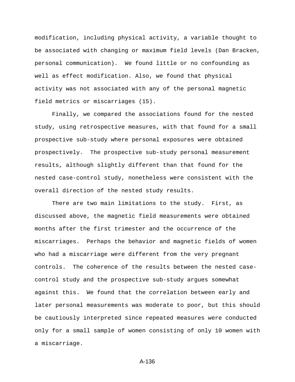modification, including physical activity, a variable thought to be associated with changing or maximum field levels (Dan Bracken, personal communication). We found little or no confounding as well as effect modification. Also, we found that physical activity was not associated with any of the personal magnetic field metrics or miscarriages (15).

Finally, we compared the associations found for the nested study, using retrospective measures, with that found for a small prospective sub-study where personal exposures were obtained prospectively. The prospective sub-study personal measurement results, although slightly different than that found for the nested case-control study, nonetheless were consistent with the overall direction of the nested study results.

There are two main limitations to the study. First, as discussed above, the magnetic field measurements were obtained months after the first trimester and the occurrence of the miscarriages. Perhaps the behavior and magnetic fields of women who had a miscarriage were different from the very pregnant controls. The coherence of the results between the nested casecontrol study and the prospective sub-study argues somewhat against this. We found that the correlation between early and later personal measurements was moderate to poor, but this should be cautiously interpreted since repeated measures were conducted only for a small sample of women consisting of only 10 women with a miscarriage.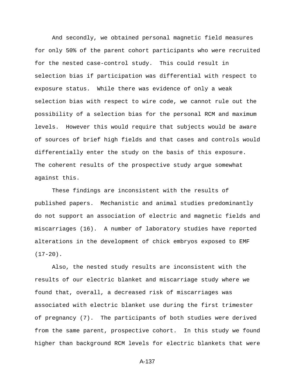And secondly, we obtained personal magnetic field measures for only 50% of the parent cohort participants who were recruited for the nested case-control study. This could result in selection bias if participation was differential with respect to exposure status. While there was evidence of only a weak selection bias with respect to wire code, we cannot rule out the possibility of a selection bias for the personal RCM and maximum levels. However this would require that subjects would be aware of sources of brief high fields and that cases and controls would differentially enter the study on the basis of this exposure. The coherent results of the prospective study argue somewhat against this.

These findings are inconsistent with the results of published papers. Mechanistic and animal studies predominantly do not support an association of electric and magnetic fields and miscarriages (16). A number of laboratory studies have reported alterations in the development of chick embryos exposed to EMF  $(17-20)$ .

Also, the nested study results are inconsistent with the results of our electric blanket and miscarriage study where we found that, overall, a decreased risk of miscarriages was associated with electric blanket use during the first trimester of pregnancy (7). The participants of both studies were derived from the same parent, prospective cohort. In this study we found higher than background RCM levels for electric blankets that were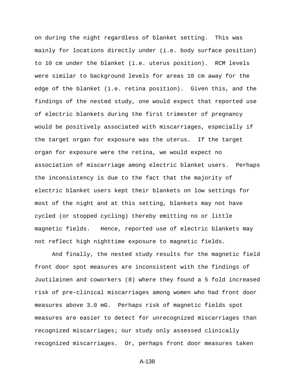on during the night regardless of blanket setting. This was mainly for locations directly under (i.e. body surface position) to 10 cm under the blanket (i.e. uterus position). RCM levels were similar to background levels for areas 10 cm away for the edge of the blanket (i.e. retina position). Given this, and the findings of the nested study, one would expect that reported use of electric blankets during the first trimester of pregnancy would be positively associated with miscarriages, especially if the target organ for exposure was the uterus. If the target organ for exposure were the retina, we would expect no association of miscarriage among electric blanket users. Perhaps the inconsistency is due to the fact that the majority of electric blanket users kept their blankets on low settings for most of the night and at this setting, blankets may not have cycled (or stopped cycling) thereby emitting no or little magnetic fields. Hence, reported use of electric blankets may not reflect high nighttime exposure to magnetic fields.

And finally, the nested study results for the magnetic field front door spot measures are inconsistent with the findings of Juutilainen and coworkers (8) where they found a 5 fold increased risk of pre-clinical miscarriages among women who had front door measures above 3.0 mG. Perhaps risk of magnetic fields spot measures are easier to detect for unrecognized miscarriages than recognized miscarriages; our study only assessed clinically recognized miscarriages. Or, perhaps front door measures taken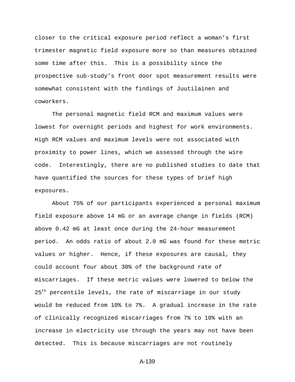closer to the critical exposure period reflect a woman's first trimester magnetic field exposure more so than measures obtained some time after this. This is a possibility since the prospective sub-study's front door spot measurement results were somewhat consistent with the findings of Juutilainen and coworkers.

The personal magnetic field RCM and maximum values were lowest for overnight periods and highest for work environments. High RCM values and maximum levels were not associated with proximity to power lines, which we assessed through the wire code. Interestingly, there are no published studies to date that have quantified the sources for these types of brief high exposures.

About 75% of our participants experienced a personal maximum field exposure above 14 mG or an average change in fields (RCM) above 0.42 mG at least once during the 24-hour measurement period. An odds ratio of about 2.0 mG was found for these metric values or higher. Hence, if these exposures are causal, they could account four about 30% of the background rate of miscarriages. If these metric values were lowered to below the 25<sup>th</sup> percentile levels, the rate of miscarriage in our study would be reduced from 10% to 7%. A gradual increase in the rate of clinically recognized miscarriages from 7% to 10% with an increase in electricity use through the years may not have been detected. This is because miscarriages are not routinely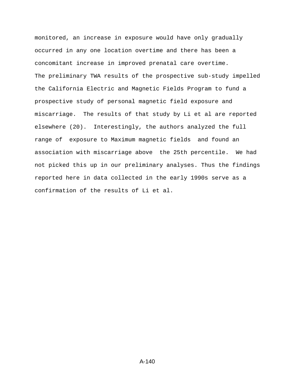monitored, an increase in exposure would have only gradually occurred in any one location overtime and there has been a concomitant increase in improved prenatal care overtime. The preliminary TWA results of the prospective sub-study impelled the California Electric and Magnetic Fields Program to fund a prospective study of personal magnetic field exposure and miscarriage. The results of that study by Li et al are reported elsewhere (20). Interestingly, the authors analyzed the full range of exposure to Maximum magnetic fields and found an association with miscarriage above the 25th percentile. We had not picked this up in our preliminary analyses. Thus the findings reported here in data collected in the early 1990s serve as a confirmation of the results of Li et al.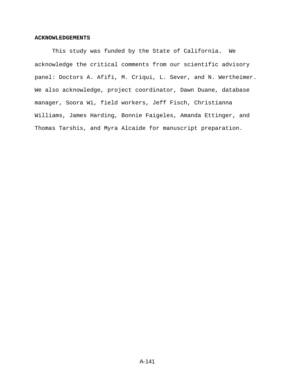# **ACKNOWLEDGEMENTS**

This study was funded by the State of California**.** We acknowledge the critical comments from our scientific advisory panel: Doctors A. Afifi, M. Criqui, L. Sever, and N. Wertheimer. We also acknowledge, project coordinator, Dawn Duane, database manager, Soora Wi, field workers, Jeff Fisch, Christianna Williams, James Harding, Bonnie Faigeles, Amanda Ettinger, and Thomas Tarshis, and Myra Alcaide for manuscript preparation.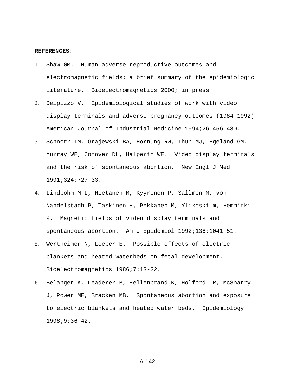### **REFERENCES:**

- 1. Shaw GM. Human adverse reproductive outcomes and electromagnetic fields: a brief summary of the epidemiologic literature. Bioelectromagnetics 2000; in press.
- 2. Delpizzo V. Epidemiological studies of work with video display terminals and adverse pregnancy outcomes (1984-1992). American Journal of Industrial Medicine 1994;26:456-480.
- 3. Schnorr TM, Grajewski BA, Hornung RW, Thun MJ, Egeland GM, Murray WE, Conover DL, Halperin WE. Video display terminals and the risk of spontaneous abortion. New Engl J Med 1991;324:727-33.
- 4. Lindbohm M-L, Hietanen M, Kyyronen P, Sallmen M, von Nandelstadh P, Taskinen H, Pekkanen M, Ylikoski m, Hemminki K. Magnetic fields of video display terminals and spontaneous abortion. Am J Epidemiol 1992;136:1041-51.
- 5. Wertheimer N, Leeper E. Possible effects of electric blankets and heated waterbeds on fetal development. Bioelectromagnetics 1986;7:13-22.
- 6. Belanger K, Leaderer B, Hellenbrand K, Holford TR, McSharry J, Power ME, Bracken MB. Spontaneous abortion and exposure to electric blankets and heated water beds. Epidemiology 1998;9:36-42.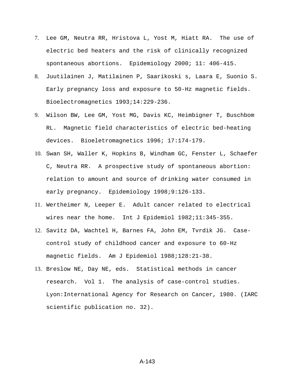- 7. Lee GM, Neutra RR, Hristova L, Yost M, Hiatt RA. The use of electric bed heaters and the risk of clinically recognized spontaneous abortions. Epidemiology 2000; 11: 406-415.
- 8. Juutilainen J, Matilainen P, Saarikoski s, Laara E, Suonio S. Early pregnancy loss and exposure to 50-Hz magnetic fields. Bioelectromagnetics 1993;14:229-236.
- 9. Wilson BW, Lee GM, Yost MG, Davis KC, Heimbigner T, Buschbom RL. Magnetic field characteristics of electric bed-heating devices. Bioeletromagnetics 1996; 17:174-179.
- 10. Swan SH, Waller K, Hopkins B, Windham GC, Fenster L, Schaefer C, Neutra RR. A prospective study of spontaneous abortion: relation to amount and source of drinking water consumed in early pregnancy. Epidemiology 1998;9:126-133.
- 11. Wertheimer N, Leeper E. Adult cancer related to electrical wires near the home. Int J Epidemiol 1982;11:345-355.
- 12. Savitz DA, Wachtel H, Barnes FA, John EM, Tvrdik JG. Casecontrol study of childhood cancer and exposure to 60-Hz magnetic fields. Am J Epidemiol 1988;128:21-38.
- 13. Breslow NE, Day NE, eds. Statistical methods in cancer research. Vol 1. The analysis of case-control studies. Lyon:International Agency for Research on Cancer, 1980. (IARC scientific publication no. 32).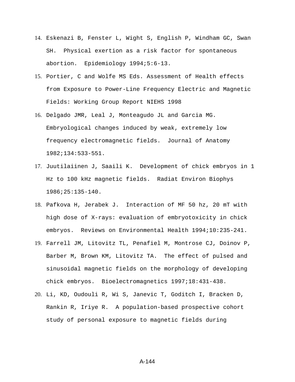- 14. Eskenazi B, Fenster L, Wight S, English P, Windham GC, Swan SH. Physical exertion as a risk factor for spontaneous abortion. Epidemiology 1994;5:6-13.
- 15. Portier, C and Wolfe MS Eds. Assessment of Health effects from Exposure to Power-Line Frequency Electric and Magnetic Fields: Working Group Report NIEHS 1998
- 16. Delgado JMR, Leal J, Monteagudo JL and Garcia MG. Embryological changes induced by weak, extremely low frequency electromagnetic fields. Journal of Anatomy 1982;134:533-551.
- 17. Juutilaiinen J, Saaili K. Development of chick embryos in 1 Hz to 100 kHz magnetic fields. Radiat Environ Biophys 1986;25:135-140.
- 18. Pafkova H, Jerabek J. Interaction of MF 50 hz, 20 mT with high dose of X-rays: evaluation of embryotoxicity in chick embryos. Reviews on Environmental Health 1994;10:235-241.
- 19. Farrell JM, Litovitz TL, Penafiel M, Montrose CJ, Doinov P, Barber M, Brown KM, Litovitz TA. The effect of pulsed and sinusoidal magnetic fields on the morphology of developing chick embryos. Bioelectromagnetics 1997;18:431-438.
- 20. Li, KD, Oudouli R, Wi S, Janevic T, Goditch I, Bracken D, Rankin R, Iriye R. A population-based prospective cohort study of personal exposure to magnetic fields during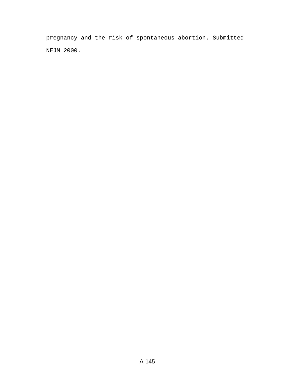pregnancy and the risk of spontaneous abortion. Submitted NEJM 2000.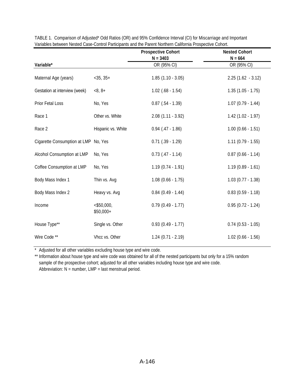|                                      |                             | <b>Prospective Cohort</b> | <b>Nested Cohort</b>   |
|--------------------------------------|-----------------------------|---------------------------|------------------------|
|                                      |                             | $N = 3403$                | $N = 664$              |
| Variable*                            |                             | OR (95% CI)               | OR (95% CI)            |
| Maternal Age (years)                 | $<$ 35, 35+                 | $1.85(1.10 - 3.05)$       | $2.25(1.62 - 3.12)$    |
| Gestation at interview (week)        | $<8, 8+$                    | $1.02$ (.68 - 1.54)       | $1.35(1.05 - 1.75)$    |
| Prior Fetal Loss                     | No, Yes                     | $0.87$ (.54 - 1.39)       | $1.07(0.79 - 1.44)$    |
| Race 1                               | Other vs. White             | $2.08(1.11 - 3.92)$       | $1.42(1.02 - 1.97)$    |
| Race 2                               | Hispanic vs. White          | $0.94$ (.47 - 1.86)       | $1.00$ (0.66 - 1.51)   |
| Cigarette Consumption at LMP No, Yes |                             | $0.71$ $(.39 - 1.29)$     | $1.11(0.79 - 1.55)$    |
| Alcohol Consumption at LMP           | No, Yes                     | $0.73$ $(.47 - 1.14)$     | $0.87(0.66 - 1.14)$    |
| Coffee Consumption at LMP            | No, Yes                     | $1.19(0.74 - 1.91)$       | $1.19(0.89 - 1.61)$    |
| Body Mass Index 1                    | Thin vs. Avg                | $1.08$ $(0.66 - 1.75)$    | $1.03(0.77 - 1.38)$    |
| Body Mass Index 2                    | Heavy vs. Avg               | $0.84$ $(0.49 - 1.44)$    | $0.83(0.59 - 1.18)$    |
| Income                               | $<$ \$50,000,<br>$$50,000+$ | $0.79$ $(0.49 - 1.77)$    | $0.95(0.72 - 1.24)$    |
| House Type**                         | Single vs. Other            | $0.93(0.49 - 1.77)$       | $0.74$ $(0.53 - 1.05)$ |
| Wire Code **                         | Vhcc vs. Other              | $1.24$ $(0.71 - 2.19)$    | $1.02$ (0.66 - 1.56)   |

TABLE 1. Comparison of Adjusted\* Odd Ratios (OR) and 95% Confidence Interval (CI) for Miscarriage and Important Variables between Nested Case-Control Participants and the Parent Northern California Prospective Cohort.

\* Adjusted for all other variables excluding house type and wire code.

\*\* Information about house type and wire code was obtained for all of the nested participants but only for a 15% random sample of the prospective cohort; adjusted for all other variables including house type and wire code. Abbreviation:  $N =$  number,  $LMP =$  last menstrual period.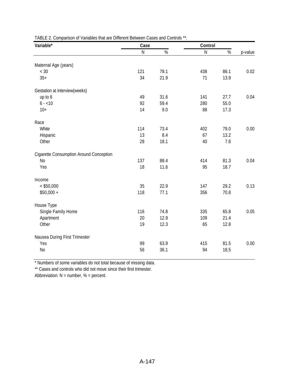| Variable*                               | Case      |      | Control   |      |         |
|-----------------------------------------|-----------|------|-----------|------|---------|
|                                         | ${\sf N}$ | $\%$ | ${\sf N}$ | $\%$ | p-value |
| Maternal Age (years)                    |           |      |           |      |         |
| $< 30$                                  | 121       | 78.1 | 438       | 86.1 | 0.02    |
| $35+$                                   | 34        | 21.9 | 71        | 13.9 |         |
|                                         |           |      |           |      |         |
| Gestation at interview(weeks)           |           |      |           |      |         |
| up to 6                                 | 49        | 31.6 | 141       | 27.7 | 0.04    |
| $6 - 10$                                | 92        | 59.4 | 280       | 55.0 |         |
| $10+$                                   | 14        | 9.0  | 88        | 17.3 |         |
| Race                                    |           |      |           |      |         |
| White                                   | 114       | 73.4 | 402       | 79.0 | 0.00    |
| Hispanic                                | 13        | 8.4  | 67        | 13.2 |         |
| Other                                   | 28        | 18.1 | 40        | 7.8  |         |
|                                         |           |      |           |      |         |
| Cigarette Consumption Around Conception |           |      |           |      |         |
| N <sub>o</sub>                          | 137       | 88.4 | 414       | 81.3 | 0.04    |
| Yes                                     | 18        | 11.6 | 95        | 18.7 |         |
| Income                                  |           |      |           |      |         |
| $<$ \$50,000                            | 35        | 22.9 | 147       | 29.2 | 0.13    |
| $$50,000 +$                             | 118       | 77.1 | 356       | 70.8 |         |
|                                         |           |      |           |      |         |
| House Type                              |           |      |           |      |         |
| Single Family Home                      | 116       | 74.8 | 335       | 65.8 | 0.05    |
| Apartment                               | 20        | 12.9 | 109       | 21.4 |         |
| Other                                   | 19        | 12.3 | 65        | 12.8 |         |
| Nausea During First Trimester           |           |      |           |      |         |
| Yes                                     | 99        | 63.9 | 415       | 81.5 | 0.00    |
| N <sub>o</sub>                          | 56        | 36.1 | 94        | 18.5 |         |
|                                         |           |      |           |      |         |

TABLE 2. Comparison of Variables that are Different Between Cases and Controls \*\*.

\* Numbers of some variables do not total because of missing data.

\*\* Cases and controls who did not move since their first trimester.

Abbreviation:  $N =$  number,  $% =$  percent.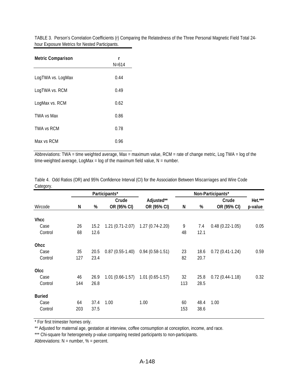TABLE 3. Person's Correlation Coefficients (r) Comparing the Relatedness of the Three Personal Magnetic Field Total 24 hour Exposure Metrics for Nested Participants.

| <b>Metric Comparison</b> | r<br>$N = 614$ |  |  |  |
|--------------------------|----------------|--|--|--|
| LogTWA vs. LogMax        | 0.44           |  |  |  |
| LogTWA vs. RCM           | 0.49           |  |  |  |
| LogMax vs. RCM           | 0.62           |  |  |  |
| <b>TWA vs Max</b>        | 0.86           |  |  |  |
| <b>TWA vs RCM</b>        | 0.78           |  |  |  |
| Max vs RCM               | 0.96           |  |  |  |

Abbreviations: TWA = time weighted average, Max = maximum value, RCM = rate of change metric, Log TWA = log of the time-weighted average, LogMax = log of the maximum field value,  $N =$  number.

|               |     |      | Participants*       |                                     |     |      | Non-Participants* |         |
|---------------|-----|------|---------------------|-------------------------------------|-----|------|-------------------|---------|
|               |     |      | Crude               | Adjusted**                          |     |      | Crude             | Het.*** |
| Wircode       | N   | %    | OR (95% CI)         | OR (95% CI)                         | N   | $\%$ | OR (95% CI)       | p-value |
| <b>Vhcc</b>   |     |      |                     |                                     |     |      |                   |         |
| Case          | 26  | 15.2 |                     | $1.21(0.71-2.07)$ $1.27(0.74-2.20)$ | 9   |      | $0.48(0.22-1.05)$ | 0.05    |
|               |     |      |                     |                                     |     | 7.4  |                   |         |
| Control       | 68  | 12.6 |                     |                                     | 48  | 12.1 |                   |         |
| Ohcc          |     |      |                     |                                     |     |      |                   |         |
| Case          | 35  | 20.5 | $0.87(0.55-1.40)$   | $0.94(0.58-1.51)$                   | 23  | 18.6 | $0.72(0.41-1.24)$ | 0.59    |
| Control       | 127 | 23.4 |                     |                                     | 82  | 20.7 |                   |         |
| <b>OIcc</b>   |     |      |                     |                                     |     |      |                   |         |
| Case          | 46  | 26.9 | $1.01(0.66 - 1.57)$ | $1.01(0.65-1.57)$                   | 32  | 25.8 | $0.72(0.44-1.18)$ | 0.32    |
| Control       | 144 | 26.8 |                     |                                     | 113 | 28.5 |                   |         |
|               |     |      |                     |                                     |     |      |                   |         |
| <b>Buried</b> |     |      |                     |                                     |     |      |                   |         |
| Case          | 64  | 37.4 | 1.00                | 1.00                                | 60  | 48.4 | 1.00              |         |
| Control       | 203 | 37.5 |                     |                                     | 153 | 38.6 |                   |         |
|               |     |      |                     |                                     |     |      |                   |         |

Table 4. Odd Ratios (OR) and 95% Confidence Interval (CI) for the Association Between Miscarriages and Wire Code Category.

\* For first trimester homes only.

\*\* Adjusted for maternal age, gestation at interview, coffee consumption at conception, income, and race.

\*\*\* Chi-square for heterogeneity p-value comparing nested participants to non-participants.

Abbreviations:  $N =$  number,  $% =$  percent.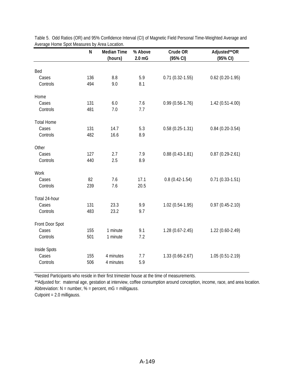|                   | N   | <b>Median Time</b><br>(hours) | % Above<br>$2.0 \text{ mG}$ | Crude OR<br>(95% CI) | Adjusted**OR<br>(95% CI) |
|-------------------|-----|-------------------------------|-----------------------------|----------------------|--------------------------|
| Bed               |     |                               |                             |                      |                          |
|                   | 136 | $8.8\,$                       |                             |                      |                          |
| Cases             |     |                               | 5.9                         | $0.71(0.32 - 1.55)$  | $0.62$ (0.20-1.95)       |
| Controls          | 494 | 9.0                           | 8.1                         |                      |                          |
| Home              |     |                               |                             |                      |                          |
| Cases             | 131 | $6.0\,$                       | 7.6                         | $0.99(0.56 - 1.76)$  | $1.42(0.51-4.00)$        |
| Controls          | 481 | 7.0                           | 7.7                         |                      |                          |
| <b>Total Home</b> |     |                               |                             |                      |                          |
| Cases             | 131 | 14.7                          | 5.3                         | $0.58(0.25-1.31)$    | $0.84(0.20-3.54)$        |
| Controls          | 482 | 16.6                          | 8.9                         |                      |                          |
| Other             |     |                               |                             |                      |                          |
| Cases             | 127 | 2.7                           | 7.9                         | $0.88(0.43-1.81)$    | $0.87(0.29-2.61)$        |
| Controls          | 440 | 2.5                           | 8.9                         |                      |                          |
| Work              |     |                               |                             |                      |                          |
| Cases             | 82  | 7.6                           | 17.1                        | $0.8(0.42 - 1.54)$   | $0.71(0.33-1.51)$        |
| Controls          | 239 | 7.6                           | 20.5                        |                      |                          |
| Total 24-hour     |     |                               |                             |                      |                          |
| Cases             | 131 | 23.3                          | 9.9                         | $1.02(0.54-1.95)$    | $0.97(0.45-2.10)$        |
| Controls          | 483 | 23.2                          | 9.7                         |                      |                          |
| Front Door Spot   |     |                               |                             |                      |                          |
| Cases             | 155 | 1 minute                      | 9.1                         | $1.28(0.67-2.45)$    | $1.22(0.60-2.49)$        |
| Controls          | 501 | 1 minute                      | 7.2                         |                      |                          |
| Inside Spots      |     |                               |                             |                      |                          |
| Cases             | 155 | 4 minutes                     | 7.7                         | $1.33(0.66 - 2.67)$  | $1.05(0.51-2.19)$        |
| Controls          | 506 | 4 minutes                     | 5.9                         |                      |                          |
|                   |     |                               |                             |                      |                          |

Table 5. Odd Ratios (OR) and 95% Confidence Interval (CI) of Magnetic Field Personal Time-Weighted Average and Average Home Spot Measures by Area Location.

\*Nested Participants who reside in their first trimester house at the time of measurements.

\*\*Adjusted for: maternal age, gestation at interview, coffee consumption around conception, income, race, and area location. Abbreviation: N = number, % = percent, mG = milligauss.

Cutpoint = 2.0 milligauss.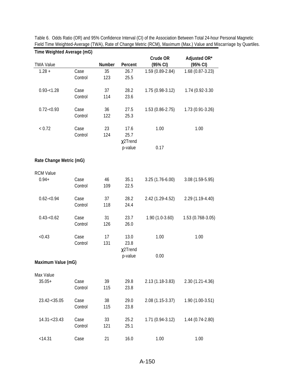| Time Weighted Average (mG) |                 |               |                               |                      |                          |
|----------------------------|-----------------|---------------|-------------------------------|----------------------|--------------------------|
| <b>TWA Value</b>           |                 | <b>Number</b> | Percent                       | Crude OR<br>(95% CI) | Adjusted OR*<br>(95% CI) |
| $1.28 +$                   | Case<br>Control | 35<br>123     | 26.7<br>25.5                  | 1.59 (0.89-2.84)     | 1.68 (0.87-3.23)         |
| $0.93 - 1.28$              | Case<br>Control | 37<br>114     | 28.2<br>23.6                  | $1.75(0.98-3.12)$    | 1.74 (0.92-3.30          |
| $0.72 - 0.93$              | Case<br>Control | 36<br>122     | 27.5<br>25.3                  | $1.53(0.86 - 2.75)$  | $1.73(0.91-3.26)$        |
| < 0.72                     | Case<br>Control | 23<br>124     | 17.6<br>25.7<br>$\chi$ 2Trend | 1.00                 | 1.00                     |
|                            |                 |               | p-value                       | 0.17                 |                          |
| Rate Change Metric (mG)    |                 |               |                               |                      |                          |
| <b>RCM Value</b>           |                 |               |                               |                      |                          |
| $0.94 +$                   | Case<br>Control | 46<br>109     | 35.1<br>22.5                  | $3.25(1.76-6.00)$    | 3.08 (1.59-5.95)         |
| $0.62 - 0.94$              | Case<br>Control | 37<br>118     | 28.2<br>24.4                  | 2.42 (1.29-4.52)     | 2.29 (1.19-4.40)         |
| $0.43 - 0.62$              | Case<br>Control | 31<br>126     | 23.7<br>26.0                  | $1.90(1.0-3.60)$     | 1.53 (0.768-3.05)        |
| < 0.43                     | Case<br>Control | 17<br>131     | 13.0<br>23.8                  | 1.00                 | 1.00                     |
| Maximum Value (mG)         |                 |               | $\chi$ 2Trend<br>p-value      | 0.00                 |                          |
|                            |                 |               |                               |                      |                          |
| Max Value<br>$35.05+$      | Case<br>Control | 39<br>115     | 29.8<br>23.8                  | 2.13 (1.18-3.83)     | $2.30(1.21-4.36)$        |
| 23.42-<35.05               | Case<br>Control | 38<br>115     | 29.0<br>23.8                  | 2.08 (1.15-3.37)     | 1.90 (1.00-3.51)         |
| 14.31-<23.43               | Case<br>Control | 33<br>121     | 25.2<br>25.1                  | $1.71(0.94-3.12)$    | $1.44(0.74-2.80)$        |
| < 14.31                    | Case            | 21            | 16.0                          | 1.00                 | 1.00                     |

Table 6. Odds Ratio (OR) and 95% Confidence Interval (CI) of the Association Between Total 24-hour Personal Magnetic Field Time Weighted-Average (TWA), Rate of Change Metric (RCM), Maximum (Max.) Value and Miscarriage by Quartiles.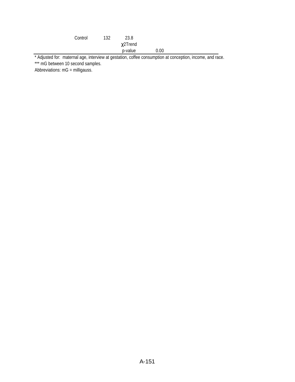| Control | 132 | 23.8          |      |  |
|---------|-----|---------------|------|--|
|         |     | $\chi$ 2Trend |      |  |
|         |     | p-value       | 0.00 |  |

\* Adjusted for: maternal age, interview at gestation, coffee consumption at conception, income, and race. \*\*\* mG between 10 second samples.

Abbreviations: mG = milligauss.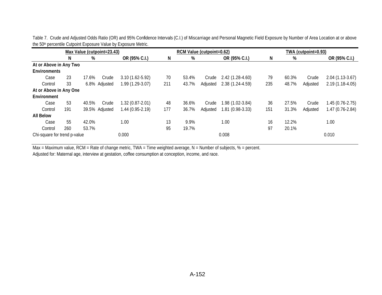| Max Value (cutpoint=23.43)   |     |                |                     | RCM Value (cutpoint=0.62) |       |          |                     | TWA (cutpoint=0.93) |       |          |                   |
|------------------------------|-----|----------------|---------------------|---------------------------|-------|----------|---------------------|---------------------|-------|----------|-------------------|
|                              | N   | %              | OR (95% C.I.)       | N                         | %     |          | OR (95% C.I.)       | N                   | %     |          | OR (95% C.I.)     |
| At or Above in Any Two       |     |                |                     |                           |       |          |                     |                     |       |          |                   |
| <b>Environments</b>          |     |                |                     |                           |       |          |                     |                     |       |          |                   |
| Case                         | 23  | 17.6%<br>Crude | $3.10(1.62 - 5.92)$ | 70                        | 53.4% | Crude    | 2.42 (1.28-4.60)    | 79                  | 60.3% | Crude    | $2.04(1.13-3.67)$ |
| Control                      | 33  | 6.8% Adjusted  | 1.99 (1.29-3.07)    | 211                       | 43.7% | Adjusted | $2.38(1.24 - 4.59)$ | 235                 | 48.7% | Adjusted | $2.19(1.18-4.05)$ |
| At or Above in Any One       |     |                |                     |                           |       |          |                     |                     |       |          |                   |
| Environment                  |     |                |                     |                           |       |          |                     |                     |       |          |                   |
| Case                         | 53  | 40.5%<br>Crude | $1.32(0.87 - 2.01)$ | 48                        | 36.6% | Crude    | 1.98 (1.02-3.84)    | 36                  | 27.5% | Crude    | $1.45(0.76-2.75)$ |
| Control                      | 191 | 39.5% Adjusted | $1.44(0.95-2.19)$   | 177                       | 36.7% | Adjusted | 1.81 (0.98-3.33)    | 151                 | 31.3% | Adjusted | $1.47(0.76-2.84)$ |
| <b>All Below</b>             |     |                |                     |                           |       |          |                     |                     |       |          |                   |
| Case                         | 55  | 42.0%          | 1.00                | 13                        | 9.9%  |          | 1.00                | 16                  | 12.2% |          | 1.00              |
| Control                      | 260 | 53.7%          |                     | 95                        | 19.7% |          |                     | 97                  | 20.1% |          |                   |
| Chi-square for trend p-value |     |                | 0.000               |                           |       |          | 0.008               |                     |       |          | 0.010             |

Table 7. Crude and Adjusted Odds Ratio (OR) and 95% Confidence Intervals (C.I.) of Miscarriage and Personal Magnetic Field Exposure by Number of Area Location at or above the 50<sup>th</sup> percentile Cutpoint Exposure Value by Exposure Metric.

Max = Maximum value, RCM = Rate of change metric, TWA = Time weighted average, N = Number of subjects, % = percent.

Adjusted for: Maternal age, interview at gestation, coffee consumption at conception, income, and race.